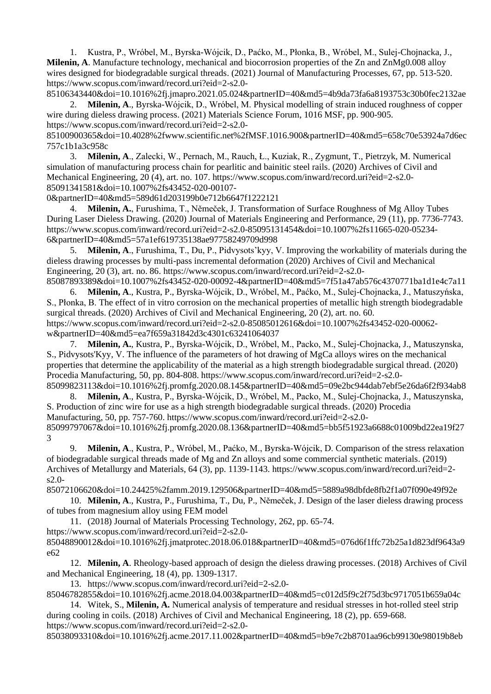1. Kustra, P., Wróbel, M., Byrska-Wójcik, D., Paćko, M., Płonka, B., Wróbel, M., Sulej-Chojnacka, J., **Milenin, A**. Manufacture technology, mechanical and biocorrosion properties of the Zn and ZnMg0.008 alloy wires designed for biodegradable surgical threads. (2021) Journal of Manufacturing Processes, 67, pp. 513-520. https://www.scopus.com/inward/record.uri?eid=2-s2.0-

85106343440&doi=10.1016%2fj.jmapro.2021.05.024&partnerID=40&md5=4b9da73fa6a8193753c30b0fec2132ae 2. **Milenin, A**., Byrska-Wójcik, D., Wróbel, M. Physical modelling of strain induced roughness of copper wire during dieless drawing process. (2021) Materials Science Forum, 1016 MSF, pp. 900-905.

https://www.scopus.com/inward/record.uri?eid=2-s2.0-

85100900365&doi=10.4028%2fwww.scientific.net%2fMSF.1016.900&partnerID=40&md5=658c70e53924a7d6ec 757c1b1a3c958c

3. **Milenin, A**., Zalecki, W., Pernach, M., Rauch, Ł., Kuziak, R., Zygmunt, T., Pietrzyk, M. Numerical simulation of manufacturing process chain for pearlitic and bainitic steel rails. (2020) Archives of Civil and Mechanical Engineering, 20 (4), art. no. 107. https://www.scopus.com/inward/record.uri?eid=2-s2.0- 85091341581&doi=10.1007%2fs43452-020-00107-

0&partnerID=40&md5=589d61d203199b0e712b6647f1222121

4. **Milenin, A.**, Furushima, T., Němeček, J. Transformation of Surface Roughness of Mg Alloy Tubes During Laser Dieless Drawing. (2020) Journal of Materials Engineering and Performance, 29 (11), pp. 7736-7743. https://www.scopus.com/inward/record.uri?eid=2-s2.0-85095131454&doi=10.1007%2fs11665-020-05234- 6&partnerID=40&md5=57a1ef619735138ae97758249709d998

5. **Milenin, A**., Furushima, T., Du, P., Pidvysots'kyy, V. Improving the workability of materials during the dieless drawing processes by multi-pass incremental deformation (2020) Archives of Civil and Mechanical Engineering, 20 (3), art. no. 86. https://www.scopus.com/inward/record.uri?eid=2-s2.0-

85087893389&doi=10.1007%2fs43452-020-00092-4&partnerID=40&md5=7f51a47ab576c4370771ba1d1e4c7a11 6. **Milenin, A**., Kustra, P., Byrska-Wójcik, D., Wróbel, M., Paćko, M., Sulej-Chojnacka, J., Matuszyńska, S., Płonka, B. The effect of in vitro corrosion on the mechanical properties of metallic high strength biodegradable surgical threads. (2020) Archives of Civil and Mechanical Engineering, 20 (2), art. no. 60. https://www.scopus.com/inward/record.uri?eid=2-s2.0-85085012616&doi=10.1007%2fs43452-020-00062 w&partnerID=40&md5=ea7f659a31842d3c4301c63241064037

7. **Milenin, A.**, Kustra, P., Byrska-Wójcik, D., Wróbel, M., Packo, M., Sulej-Chojnacka, J., Matuszynska, S., Pidvysots'Kyy, V. The influence of the parameters of hot drawing of MgCa alloys wires on the mechanical properties that determine the applicability of the material as a high strength biodegradable surgical thread. (2020) Procedia Manufacturing, 50, pp. 804-808. https://www.scopus.com/inward/record.uri?eid=2-s2.0-

85099823113&doi=10.1016%2fj.promfg.2020.08.145&partnerID=40&md5=09e2bc944dab7ebf5e26da6f2f934ab8 8. **Milenin, A**., Kustra, P., Byrska-Wójcik, D., Wróbel, M., Packo, M., Sulej-Chojnacka, J., Matuszynska, S. Production of zinc wire for use as a high strength biodegradable surgical threads. (2020) Procedia Manufacturing, 50, pp. 757-760. https://www.scopus.com/inward/record.uri?eid=2-s2.0- 85099797067&doi=10.1016%2fj.promfg.2020.08.136&partnerID=40&md5=bb5f51923a6688c01009bd22ea19f27 3

9. **Milenin, A**., Kustra, P., Wróbel, M., Paćko, M., Byrska-Wójcik, D. Comparison of the stress relaxation of biodegradable surgical threads made of Mg and Zn alloys and some commercial synthetic materials. (2019) Archives of Metallurgy and Materials, 64 (3), pp. 1139-1143. https://www.scopus.com/inward/record.uri?eid=2 s2.0-

85072106620&doi=10.24425%2famm.2019.129506&partnerID=40&md5=5889a98dbfde8fb2f1a07f090e49f92e 10. **Milenin, A**., Kustra, P., Furushima, T., Du, P., Němeček, J. Design of the laser dieless drawing process of tubes from magnesium alloy using FEM model

11. (2018) Journal of Materials Processing Technology, 262, pp. 65-74. https://www.scopus.com/inward/record.uri?eid=2-s2.0- 85048890012&doi=10.1016%2fj.jmatprotec.2018.06.018&partnerID=40&md5=076d6f1ffc72b25a1d823df9643a9 e62

12. **Milenin, A**. Rheology-based approach of design the dieless drawing processes. (2018) Archives of Civil and Mechanical Engineering, 18 (4), pp. 1309-1317.

13. https://www.scopus.com/inward/record.uri?eid=2-s2.0-

85046782855&doi=10.1016%2fj.acme.2018.04.003&partnerID=40&md5=c012d5f9c2f75d3bc9717051b659a04c 14. Witek, S., **Milenin, A.** Numerical analysis of temperature and residual stresses in hot-rolled steel strip

during cooling in coils. (2018) Archives of Civil and Mechanical Engineering, 18 (2), pp. 659-668. https://www.scopus.com/inward/record.uri?eid=2-s2.0-

85038093310&doi=10.1016%2fj.acme.2017.11.002&partnerID=40&md5=b9e7c2b8701aa96cb99130e98019b8eb